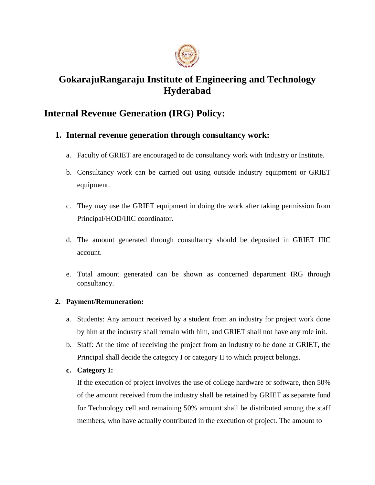

# **GokarajuRangaraju Institute of Engineering and Technology Hyderabad**

## **Internal Revenue Generation (IRG) Policy:**

## **1. Internal revenue generation through consultancy work:**

- a. Faculty of GRIET are encouraged to do consultancy work with Industry or Institute.
- b. Consultancy work can be carried out using outside industry equipment or GRIET equipment.
- c. They may use the GRIET equipment in doing the work after taking permission from Principal/HOD/IIIC coordinator.
- d. The amount generated through consultancy should be deposited in GRIET IIIC account.
- e. Total amount generated can be shown as concerned department IRG through consultancy.

### **2. Payment/Remuneration:**

- a. Students: Any amount received by a student from an industry for project work done by him at the industry shall remain with him, and GRIET shall not have any role init.
- b. Staff: At the time of receiving the project from an industry to be done at GRIET, the Principal shall decide the category I or category II to which project belongs.
- **c. Category I:**

If the execution of project involves the use of college hardware or software, then 50% of the amount received from the industry shall be retained by GRIET as separate fund for Technology cell and remaining 50% amount shall be distributed among the staff members, who have actually contributed in the execution of project. The amount to